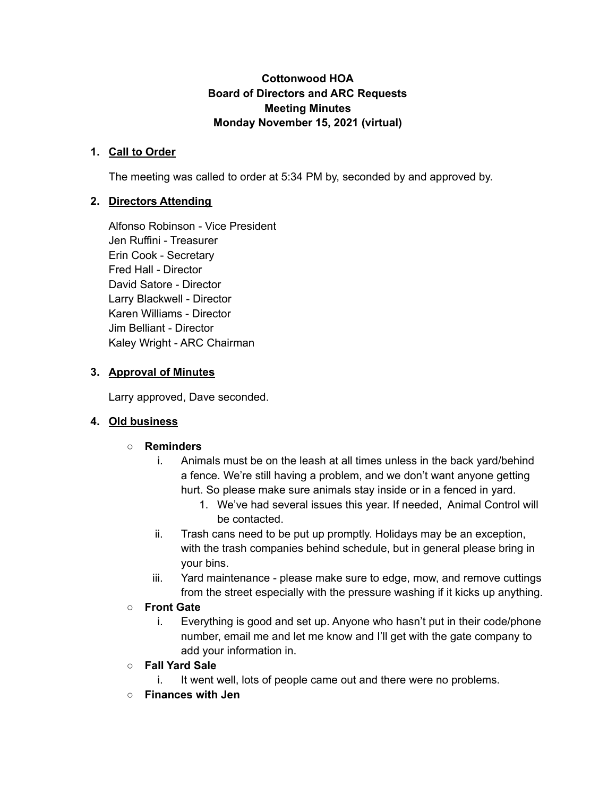## **Cottonwood HOA Board of Directors and ARC Requests Meeting Minutes Monday November 15, 2021 (virtual)**

#### **1. Call to Order**

The meeting was called to order at 5:34 PM by, seconded by and approved by.

## **2. Directors Attending**

Alfonso Robinson - Vice President Jen Ruffini - Treasurer Erin Cook - Secretary Fred Hall - Director David Satore - Director Larry Blackwell - Director Karen Williams - Director Jim Belliant - Director Kaley Wright - ARC Chairman

## **3. Approval of Minutes**

Larry approved, Dave seconded.

#### **4. Old business**

#### **○ Reminders**

- i. Animals must be on the leash at all times unless in the back yard/behind a fence. We're still having a problem, and we don't want anyone getting hurt. So please make sure animals stay inside or in a fenced in yard.
	- 1. We've had several issues this year. If needed, Animal Control will be contacted.
- ii. Trash cans need to be put up promptly. Holidays may be an exception, with the trash companies behind schedule, but in general please bring in your bins.
- iii. Yard maintenance please make sure to edge, mow, and remove cuttings from the street especially with the pressure washing if it kicks up anything.

## **○ Front Gate**

- i. Everything is good and set up. Anyone who hasn't put in their code/phone number, email me and let me know and I'll get with the gate company to add your information in.
- **○ Fall Yard Sale**
	- i. It went well, lots of people came out and there were no problems.
- **○ Finances with Jen**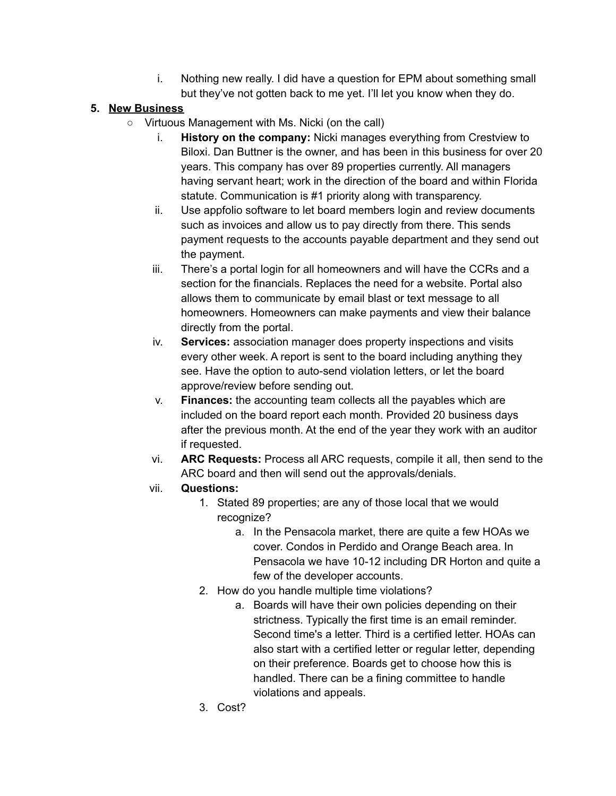i. Nothing new really. I did have a question for EPM about something small but they've not gotten back to me yet. I'll let you know when they do.

# **5. New Business**

- Virtuous Management with Ms. Nicki (on the call)
	- i. **History on the company:** Nicki manages everything from Crestview to Biloxi. Dan Buttner is the owner, and has been in this business for over 20 years. This company has over 89 properties currently. All managers having servant heart; work in the direction of the board and within Florida statute. Communication is #1 priority along with transparency.
	- ii. Use appfolio software to let board members login and review documents such as invoices and allow us to pay directly from there. This sends payment requests to the accounts payable department and they send out the payment.
	- iii. There's a portal login for all homeowners and will have the CCRs and a section for the financials. Replaces the need for a website. Portal also allows them to communicate by email blast or text message to all homeowners. Homeowners can make payments and view their balance directly from the portal.
	- iv. **Services:** association manager does property inspections and visits every other week. A report is sent to the board including anything they see. Have the option to auto-send violation letters, or let the board approve/review before sending out.
	- v. **Finances:** the accounting team collects all the payables which are included on the board report each month. Provided 20 business days after the previous month. At the end of the year they work with an auditor if requested.
	- vi. **ARC Requests:** Process all ARC requests, compile it all, then send to the ARC board and then will send out the approvals/denials.
	- vii. **Questions:**
		- 1. Stated 89 properties; are any of those local that we would recognize?
			- a. In the Pensacola market, there are quite a few HOAs we cover. Condos in Perdido and Orange Beach area. In Pensacola we have 10-12 including DR Horton and quite a few of the developer accounts.
		- 2. How do you handle multiple time violations?
			- a. Boards will have their own policies depending on their strictness. Typically the first time is an email reminder. Second time's a letter. Third is a certified letter. HOAs can also start with a certified letter or regular letter, depending on their preference. Boards get to choose how this is handled. There can be a fining committee to handle violations and appeals.
		- 3. Cost?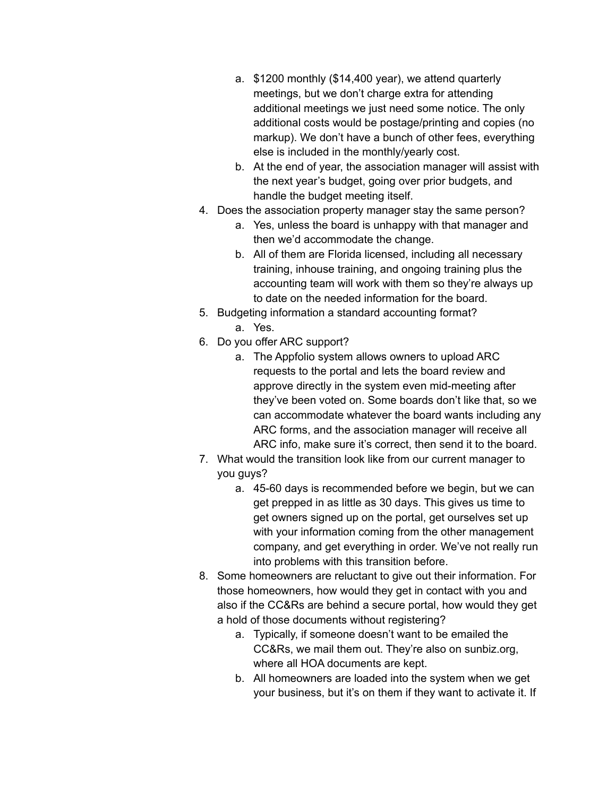- a. \$1200 monthly (\$14,400 year), we attend quarterly meetings, but we don't charge extra for attending additional meetings we just need some notice. The only additional costs would be postage/printing and copies (no markup). We don't have a bunch of other fees, everything else is included in the monthly/yearly cost.
- b. At the end of year, the association manager will assist with the next year's budget, going over prior budgets, and handle the budget meeting itself.
- 4. Does the association property manager stay the same person?
	- a. Yes, unless the board is unhappy with that manager and then we'd accommodate the change.
	- b. All of them are Florida licensed, including all necessary training, inhouse training, and ongoing training plus the accounting team will work with them so they're always up to date on the needed information for the board.
- 5. Budgeting information a standard accounting format?
	- a. Yes.
- 6. Do you offer ARC support?
	- a. The Appfolio system allows owners to upload ARC requests to the portal and lets the board review and approve directly in the system even mid-meeting after they've been voted on. Some boards don't like that, so we can accommodate whatever the board wants including any ARC forms, and the association manager will receive all ARC info, make sure it's correct, then send it to the board.
- 7. What would the transition look like from our current manager to you guys?
	- a. 45-60 days is recommended before we begin, but we can get prepped in as little as 30 days. This gives us time to get owners signed up on the portal, get ourselves set up with your information coming from the other management company, and get everything in order. We've not really run into problems with this transition before.
- 8. Some homeowners are reluctant to give out their information. For those homeowners, how would they get in contact with you and also if the CC&Rs are behind a secure portal, how would they get a hold of those documents without registering?
	- a. Typically, if someone doesn't want to be emailed the CC&Rs, we mail them out. They're also on sunbiz.org, where all HOA documents are kept.
	- b. All homeowners are loaded into the system when we get your business, but it's on them if they want to activate it. If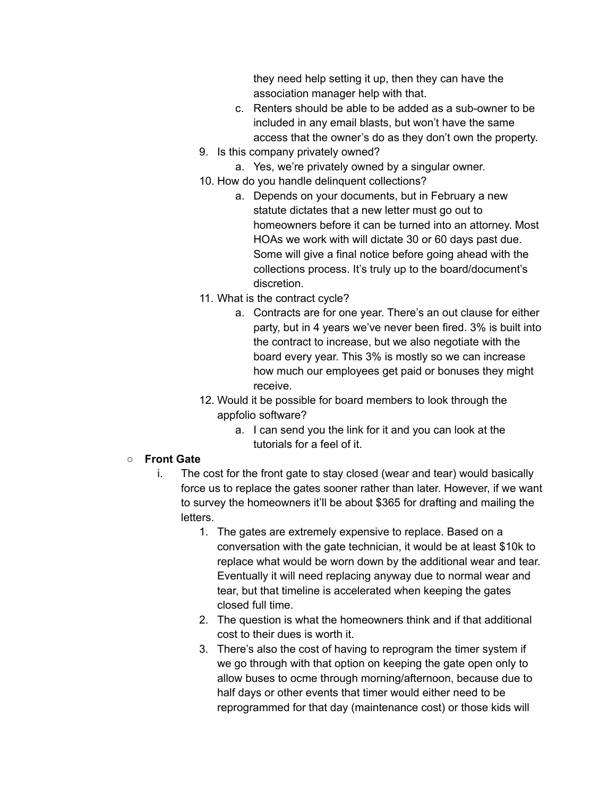they need help setting it up, then they can have the association manager help with that.

- c. Renters should be able to be added as a sub-owner to be included in any email blasts, but won't have the same access that the owner's do as they don't own the property.
- 9. Is this company privately owned?
	- a. Yes, we're privately owned by a singular owner.
- 10. How do you handle delinquent collections?
	- a. Depends on your documents, but in February a new statute dictates that a new letter must go out to homeowners before it can be turned into an attorney. Most HOAs we work with will dictate 30 or 60 days past due. Some will give a final notice before going ahead with the collections process. It's truly up to the board/document's discretion.
- 11. What is the contract cycle?
	- a. Contracts are for one year. There's an out clause for either party, but in 4 years we've never been fired. 3% is built into the contract to increase, but we also negotiate with the board every year. This 3% is mostly so we can increase how much our employees get paid or bonuses they might receive.
- 12. Would it be possible for board members to look through the appfolio software?
	- a. I can send you the link for it and you can look at the tutorials for a feel of it.

#### **○ Front Gate**

- i. The cost for the front gate to stay closed (wear and tear) would basically force us to replace the gates sooner rather than later. However, if we want to survey the homeowners it'll be about \$365 for drafting and mailing the letters.
	- 1. The gates are extremely expensive to replace. Based on a conversation with the gate technician, it would be at least \$10k to replace what would be worn down by the additional wear and tear. Eventually it will need replacing anyway due to normal wear and tear, but that timeline is accelerated when keeping the gates closed full time.
	- 2. The question is what the homeowners think and if that additional cost to their dues is worth it.
	- 3. There's also the cost of having to reprogram the timer system if we go through with that option on keeping the gate open only to allow buses to ocme through morning/afternoon, because due to half days or other events that timer would either need to be reprogrammed for that day (maintenance cost) or those kids will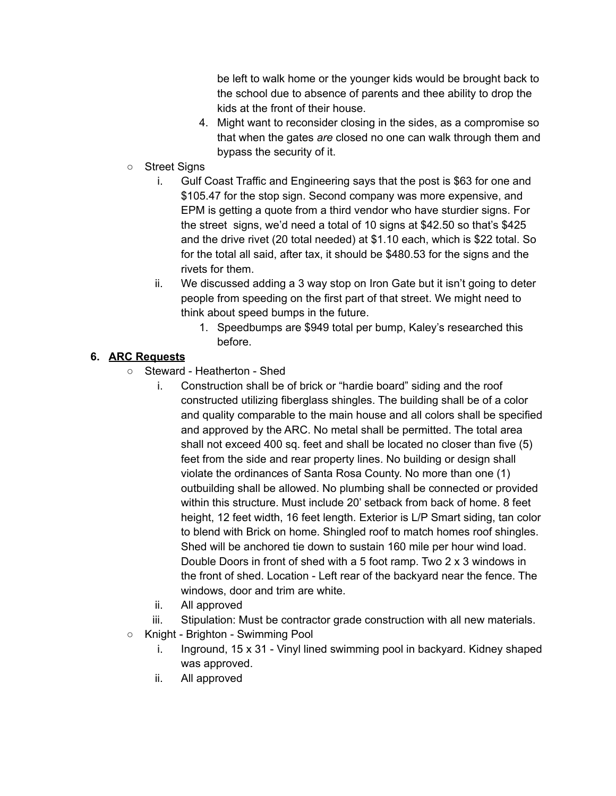be left to walk home or the younger kids would be brought back to the school due to absence of parents and thee ability to drop the kids at the front of their house.

- 4. Might want to reconsider closing in the sides, as a compromise so that when the gates *are* closed no one can walk through them and bypass the security of it.
- Street Signs
	- i. Gulf Coast Traffic and Engineering says that the post is \$63 for one and \$105.47 for the stop sign. Second company was more expensive, and EPM is getting a quote from a third vendor who have sturdier signs. For the street signs, we'd need a total of 10 signs at \$42.50 so that's \$425 and the drive rivet (20 total needed) at \$1.10 each, which is \$22 total. So for the total all said, after tax, it should be \$480.53 for the signs and the rivets for them.
	- ii. We discussed adding a 3 way stop on Iron Gate but it isn't going to deter people from speeding on the first part of that street. We might need to think about speed bumps in the future.
		- 1. Speedbumps are \$949 total per bump, Kaley's researched this before.

# **6. ARC Requests**

- Steward Heatherton Shed
	- i. Construction shall be of brick or "hardie board" siding and the roof constructed utilizing fiberglass shingles. The building shall be of a color and quality comparable to the main house and all colors shall be specified and approved by the ARC. No metal shall be permitted. The total area shall not exceed 400 sq. feet and shall be located no closer than five (5) feet from the side and rear property lines. No building or design shall violate the ordinances of Santa Rosa County. No more than one (1) outbuilding shall be allowed. No plumbing shall be connected or provided within this structure. Must include 20' setback from back of home. 8 feet height, 12 feet width, 16 feet length. Exterior is L/P Smart siding, tan color to blend with Brick on home. Shingled roof to match homes roof shingles. Shed will be anchored tie down to sustain 160 mile per hour wind load. Double Doors in front of shed with a 5 foot ramp. Two 2 x 3 windows in the front of shed. Location - Left rear of the backyard near the fence. The windows, door and trim are white.
	- ii. All approved
	- iii. Stipulation: Must be contractor grade construction with all new materials.
- Knight Brighton Swimming Pool
	- i. Inground, 15 x 31 Vinyl lined swimming pool in backyard. Kidney shaped was approved.
	- ii. All approved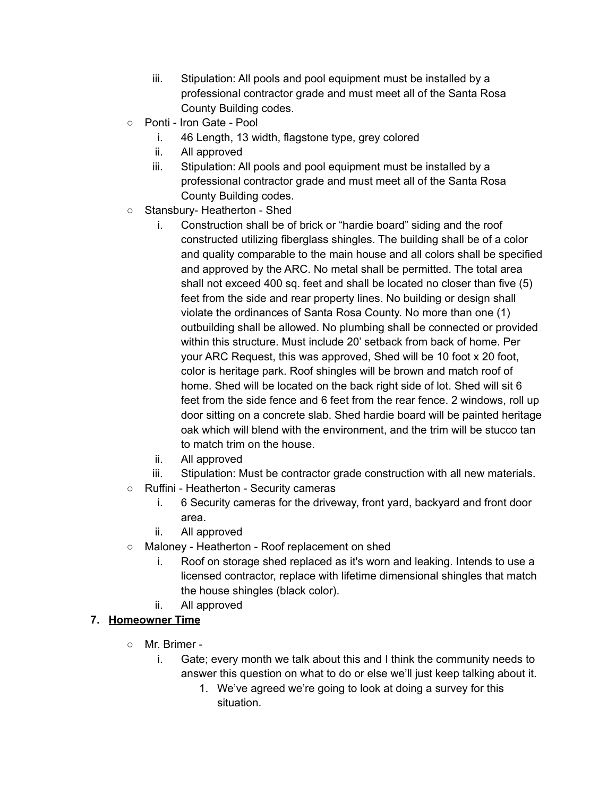- iii. Stipulation: All pools and pool equipment must be installed by a professional contractor grade and must meet all of the Santa Rosa County Building codes.
- Ponti Iron Gate Pool
	- i. 46 Length, 13 width, flagstone type, grey colored
	- ii. All approved
	- iii. Stipulation: All pools and pool equipment must be installed by a professional contractor grade and must meet all of the Santa Rosa County Building codes.
- Stansbury- Heatherton Shed
	- i. Construction shall be of brick or "hardie board" siding and the roof constructed utilizing fiberglass shingles. The building shall be of a color and quality comparable to the main house and all colors shall be specified and approved by the ARC. No metal shall be permitted. The total area shall not exceed 400 sq. feet and shall be located no closer than five (5) feet from the side and rear property lines. No building or design shall violate the ordinances of Santa Rosa County. No more than one (1) outbuilding shall be allowed. No plumbing shall be connected or provided within this structure. Must include 20' setback from back of home. Per your ARC Request, this was approved, Shed will be 10 foot x 20 foot, color is heritage park. Roof shingles will be brown and match roof of home. Shed will be located on the back right side of lot. Shed will sit 6 feet from the side fence and 6 feet from the rear fence. 2 windows, roll up door sitting on a concrete slab. Shed hardie board will be painted heritage oak which will blend with the environment, and the trim will be stucco tan to match trim on the house.
	- ii. All approved
	- iii. Stipulation: Must be contractor grade construction with all new materials.
- Ruffini Heatherton Security cameras
	- i. 6 Security cameras for the driveway, front yard, backyard and front door area.
	- ii. All approved
- Maloney Heatherton Roof replacement on shed
	- i. Roof on storage shed replaced as it's worn and leaking. Intends to use a licensed contractor, replace with lifetime dimensional shingles that match the house shingles (black color).
	- ii. All approved

## **7. Homeowner Time**

- Mr. Brimer
	- i. Gate; every month we talk about this and I think the community needs to answer this question on what to do or else we'll just keep talking about it.
		- 1. We've agreed we're going to look at doing a survey for this situation.